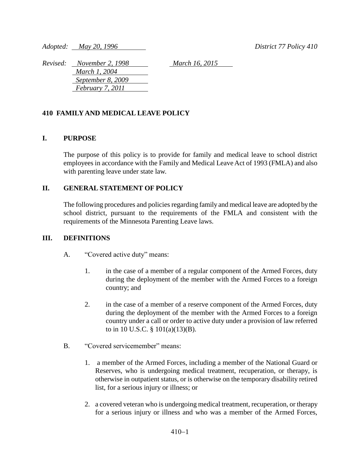*Adopted: May 20, 1996 District 77 Policy 410*

*Revised: November 2, 1998 March 16, 2015 March 1, 2004 September 8, 2009 February 7, 2011*

## **410 FAMILY AND MEDICAL LEAVE POLICY**

#### **I. PURPOSE**

The purpose of this policy is to provide for family and medical leave to school district employees in accordance with the Family and Medical Leave Act of 1993 (FMLA) and also with parenting leave under state law.

#### **II. GENERAL STATEMENT OF POLICY**

The following procedures and policies regarding family and medical leave are adopted by the school district, pursuant to the requirements of the FMLA and consistent with the requirements of the Minnesota Parenting Leave laws.

#### **III. DEFINITIONS**

- A. "Covered active duty" means:
	- 1. in the case of a member of a regular component of the Armed Forces, duty during the deployment of the member with the Armed Forces to a foreign country; and
	- 2. in the case of a member of a reserve component of the Armed Forces, duty during the deployment of the member with the Armed Forces to a foreign country under a call or order to active duty under a provision of law referred to in 10 U.S.C. § 101(a)(13)(B).
- B. "Covered servicemember" means:
	- 1. a member of the Armed Forces, including a member of the National Guard or Reserves, who is undergoing medical treatment, recuperation, or therapy, is otherwise in outpatient status, or is otherwise on the temporary disability retired list, for a serious injury or illness; or
	- 2. a covered veteran who is undergoing medical treatment, recuperation, or therapy for a serious injury or illness and who was a member of the Armed Forces,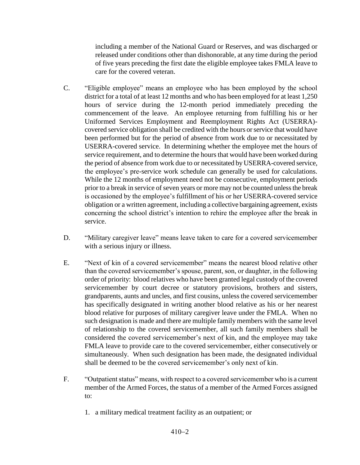including a member of the National Guard or Reserves, and was discharged or released under conditions other than dishonorable, at any time during the period of five years preceding the first date the eligible employee takes FMLA leave to care for the covered veteran.

- C. "Eligible employee" means an employee who has been employed by the school district for a total of at least 12 months and who has been employed for at least 1,250 hours of service during the 12-month period immediately preceding the commencement of the leave. An employee returning from fulfilling his or her Uniformed Services Employment and Reemployment Rights Act (USERRA) covered service obligation shall be credited with the hours or service that would have been performed but for the period of absence from work due to or necessitated by USERRA-covered service. In determining whether the employee met the hours of service requirement, and to determine the hours that would have been worked during the period of absence from work due to or necessitated by USERRA-covered service, the employee's pre-service work schedule can generally be used for calculations. While the 12 months of employment need not be consecutive, employment periods prior to a break in service of seven years or more may not be counted unless the break is occasioned by the employee's fulfillment of his or her USERRA-covered service obligation or a written agreement, including a collective bargaining agreement, exists concerning the school district's intention to rehire the employee after the break in service.
- D. "Military caregiver leave" means leave taken to care for a covered servicemember with a serious injury or illness.
- E. "Next of kin of a covered servicemember" means the nearest blood relative other than the covered servicemember's spouse, parent, son, or daughter, in the following order of priority: blood relatives who have been granted legal custody of the covered servicemember by court decree or statutory provisions, brothers and sisters, grandparents, aunts and uncles, and first cousins, unless the covered servicemember has specifically designated in writing another blood relative as his or her nearest blood relative for purposes of military caregiver leave under the FMLA. When no such designation is made and there are multiple family members with the same level of relationship to the covered servicemember, all such family members shall be considered the covered servicemember's next of kin, and the employee may take FMLA leave to provide care to the covered servicemember, either consecutively or simultaneously. When such designation has been made, the designated individual shall be deemed to be the covered servicemember's only next of kin.
- F. "Outpatient status" means, with respect to a covered servicemember who is a current member of the Armed Forces, the status of a member of the Armed Forces assigned to:
	- 1. a military medical treatment facility as an outpatient; or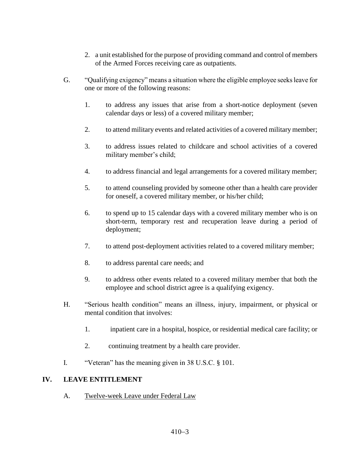- 2. a unit established for the purpose of providing command and control of members of the Armed Forces receiving care as outpatients.
- G. "Qualifying exigency" means a situation where the eligible employee seeks leave for one or more of the following reasons:
	- 1. to address any issues that arise from a short-notice deployment (seven calendar days or less) of a covered military member;
	- 2. to attend military events and related activities of a covered military member;
	- 3. to address issues related to childcare and school activities of a covered military member's child;
	- 4. to address financial and legal arrangements for a covered military member;
	- 5. to attend counseling provided by someone other than a health care provider for oneself, a covered military member, or his/her child;
	- 6. to spend up to 15 calendar days with a covered military member who is on short-term, temporary rest and recuperation leave during a period of deployment;
	- 7. to attend post-deployment activities related to a covered military member;
	- 8. to address parental care needs; and
	- 9. to address other events related to a covered military member that both the employee and school district agree is a qualifying exigency.
- H. "Serious health condition" means an illness, injury, impairment, or physical or mental condition that involves:
	- 1. inpatient care in a hospital, hospice, or residential medical care facility; or
	- 2. continuing treatment by a health care provider.
- I. "Veteran" has the meaning given in 38 U.S.C. § 101.

## **IV. LEAVE ENTITLEMENT**

A. Twelve-week Leave under Federal Law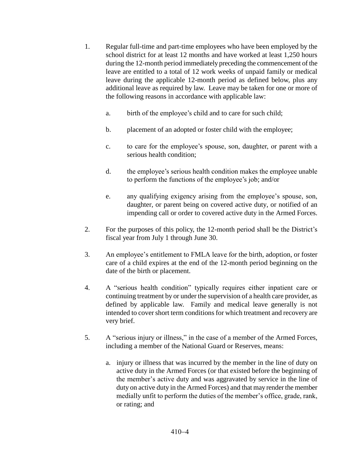- 1. Regular full-time and part-time employees who have been employed by the school district for at least 12 months and have worked at least 1,250 hours during the 12-month period immediately preceding the commencement of the leave are entitled to a total of 12 work weeks of unpaid family or medical leave during the applicable 12-month period as defined below, plus any additional leave as required by law. Leave may be taken for one or more of the following reasons in accordance with applicable law:
	- a. birth of the employee's child and to care for such child;
	- b. placement of an adopted or foster child with the employee;
	- c. to care for the employee's spouse, son, daughter, or parent with a serious health condition;
	- d. the employee's serious health condition makes the employee unable to perform the functions of the employee's job; and/or
	- e. any qualifying exigency arising from the employee's spouse, son, daughter, or parent being on covered active duty, or notified of an impending call or order to covered active duty in the Armed Forces.
- 2. For the purposes of this policy, the 12-month period shall be the District's fiscal year from July 1 through June 30.
- 3. An employee's entitlement to FMLA leave for the birth, adoption, or foster care of a child expires at the end of the 12-month period beginning on the date of the birth or placement.
- 4. A "serious health condition" typically requires either inpatient care or continuing treatment by or under the supervision of a health care provider, as defined by applicable law. Family and medical leave generally is not intended to cover short term conditions for which treatment and recovery are very brief.
- 5. A "serious injury or illness," in the case of a member of the Armed Forces, including a member of the National Guard or Reserves, means:
	- a. injury or illness that was incurred by the member in the line of duty on active duty in the Armed Forces (or that existed before the beginning of the member's active duty and was aggravated by service in the line of duty on active duty in the Armed Forces) and that may render the member medially unfit to perform the duties of the member's office, grade, rank, or rating; and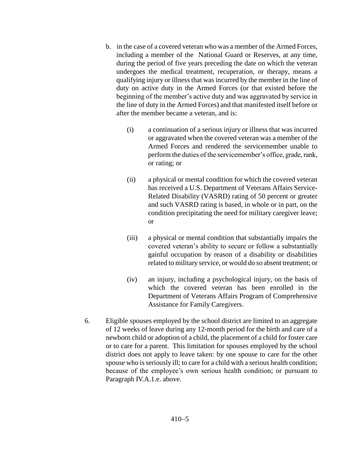- b. in the case of a covered veteran who was a member of the Armed Forces, including a member of the National Guard or Reserves, at any time, during the period of five years preceding the date on which the veteran undergoes the medical treatment, recuperation, or therapy, means a qualifying injury or illness that was incurred by the member in the line of duty on active duty in the Armed Forces (or that existed before the beginning of the member's active duty and was aggravated by service in the line of duty in the Armed Forces) and that manifested itself before or after the member became a veteran, and is:
	- (i) a continuation of a serious injury or illness that was incurred or aggravated when the covered veteran was a member of the Armed Forces and rendered the servicemember unable to perform the duties of the servicemember's office, grade, rank, or rating; or
	- (ii) a physical or mental condition for which the covered veteran has received a U.S. Department of Veterans Affairs Service-Related Disability (VASRD) rating of 50 percent or greater and such VASRD rating is based, in whole or in part, on the condition precipitating the need for military caregiver leave; or
	- (iii) a physical or mental condition that substantially impairs the covered veteran's ability to secure or follow a substantially gainful occupation by reason of a disability or disabilities related to military service, or would do so absent treatment; or
	- (iv) an injury, including a psychological injury, on the basis of which the covered veteran has been enrolled in the Department of Veterans Affairs Program of Comprehensive Assistance for Family Caregivers.
- 6. Eligible spouses employed by the school district are limited to an aggregate of 12 weeks of leave during any 12-month period for the birth and care of a newborn child or adoption of a child, the placement of a child for foster care or to care for a parent. This limitation for spouses employed by the school district does not apply to leave taken: by one spouse to care for the other spouse who is seriously ill; to care for a child with a serious health condition; because of the employee's own serious health condition; or pursuant to Paragraph IV.A.1.e. above.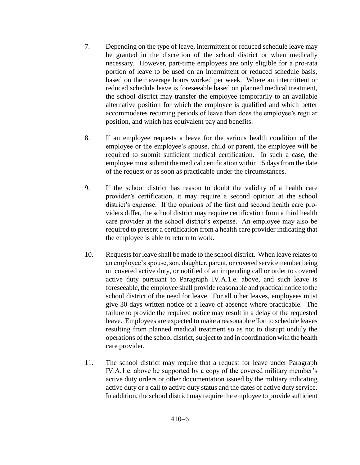- 7. Depending on the type of leave, intermittent or reduced schedule leave may be granted in the discretion of the school district or when medically necessary. However, part-time employees are only eligible for a pro-rata portion of leave to be used on an intermittent or reduced schedule basis, based on their average hours worked per week. Where an intermittent or reduced schedule leave is foreseeable based on planned medical treatment, the school district may transfer the employee temporarily to an available alternative position for which the employee is qualified and which better accommodates recurring periods of leave than does the employee's regular position, and which has equivalent pay and benefits.
- 8. If an employee requests a leave for the serious health condition of the employee or the employee's spouse, child or parent, the employee will be required to submit sufficient medical certification. In such a case, the employee must submit the medical certification within 15 days from the date of the request or as soon as practicable under the circumstances.
- 9. If the school district has reason to doubt the validity of a health care provider's certification, it may require a second opinion at the school district's expense. If the opinions of the first and second health care providers differ, the school district may require certification from a third health care provider at the school district's expense. An employee may also be required to present a certification from a health care provider indicating that the employee is able to return to work.
- 10. Requests for leave shall be made to the school district. When leave relates to an employee's spouse, son, daughter, parent, or covered servicemember being on covered active duty, or notified of an impending call or order to covered active duty pursuant to Paragraph IV.A.1.e. above, and such leave is foreseeable, the employee shall provide reasonable and practical notice to the school district of the need for leave. For all other leaves, employees must give 30 days written notice of a leave of absence where practicable. The failure to provide the required notice may result in a delay of the requested leave. Employees are expected to make a reasonable effort to schedule leaves resulting from planned medical treatment so as not to disrupt unduly the operations of the school district, subject to and in coordination with the health care provider.
- 11. The school district may require that a request for leave under Paragraph IV.A.1.e. above be supported by a copy of the covered military member's active duty orders or other documentation issued by the military indicating active duty or a call to active duty status and the dates of active duty service. In addition, the school district may require the employee to provide sufficient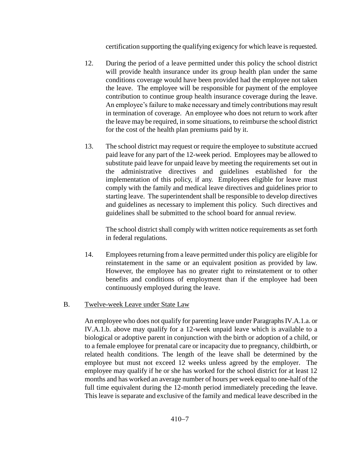certification supporting the qualifying exigency for which leave is requested.

- 12. During the period of a leave permitted under this policy the school district will provide health insurance under its group health plan under the same conditions coverage would have been provided had the employee not taken the leave. The employee will be responsible for payment of the employee contribution to continue group health insurance coverage during the leave. An employee's failure to make necessary and timely contributions may result in termination of coverage. An employee who does not return to work after the leave may be required, in some situations, to reimburse the school district for the cost of the health plan premiums paid by it.
- 13. The school district may request or require the employee to substitute accrued paid leave for any part of the 12-week period. Employees may be allowed to substitute paid leave for unpaid leave by meeting the requirements set out in the administrative directives and guidelines established for the implementation of this policy, if any. Employees eligible for leave must comply with the family and medical leave directives and guidelines prior to starting leave. The superintendent shall be responsible to develop directives and guidelines as necessary to implement this policy. Such directives and guidelines shall be submitted to the school board for annual review.

The school district shall comply with written notice requirements as set forth in federal regulations.

14. Employees returning from a leave permitted under this policy are eligible for reinstatement in the same or an equivalent position as provided by law. However, the employee has no greater right to reinstatement or to other benefits and conditions of employment than if the employee had been continuously employed during the leave.

## B. Twelve-week Leave under State Law

An employee who does not qualify for parenting leave under Paragraphs IV.A.1.a. or IV.A.1.b. above may qualify for a 12-week unpaid leave which is available to a biological or adoptive parent in conjunction with the birth or adoption of a child, or to a female employee for prenatal care or incapacity due to pregnancy, childbirth, or related health conditions. The length of the leave shall be determined by the employee but must not exceed 12 weeks unless agreed by the employer. The employee may qualify if he or she has worked for the school district for at least 12 months and has worked an average number of hours per week equal to one-half of the full time equivalent during the 12-month period immediately preceding the leave. This leave is separate and exclusive of the family and medical leave described in the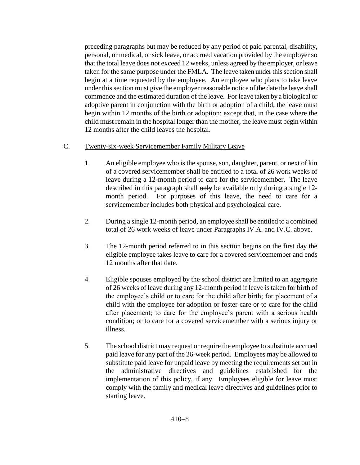preceding paragraphs but may be reduced by any period of paid parental, disability, personal, or medical, or sick leave, or accrued vacation provided by the employer so that the total leave does not exceed 12 weeks, unless agreed by the employer, or leave taken for the same purpose under the FMLA. The leave taken under this section shall begin at a time requested by the employee. An employee who plans to take leave under this section must give the employer reasonable notice of the date the leave shall commence and the estimated duration of the leave. For leave taken by a biological or adoptive parent in conjunction with the birth or adoption of a child, the leave must begin within 12 months of the birth or adoption; except that, in the case where the child must remain in the hospital longer than the mother, the leave must begin within 12 months after the child leaves the hospital.

- C. Twenty-six-week Servicemember Family Military Leave
	- 1. An eligible employee who is the spouse, son, daughter, parent, or next of kin of a covered servicemember shall be entitled to a total of 26 work weeks of leave during a 12-month period to care for the servicemember. The leave described in this paragraph shall only be available only during a single 12month period. For purposes of this leave, the need to care for a servicemember includes both physical and psychological care.
	- 2. During a single 12-month period, an employee shall be entitled to a combined total of 26 work weeks of leave under Paragraphs IV.A. and IV.C. above.
	- 3. The 12-month period referred to in this section begins on the first day the eligible employee takes leave to care for a covered servicemember and ends 12 months after that date.
	- 4. Eligible spouses employed by the school district are limited to an aggregate of 26 weeks of leave during any 12-month period if leave is taken for birth of the employee's child or to care for the child after birth; for placement of a child with the employee for adoption or foster care or to care for the child after placement; to care for the employee's parent with a serious health condition; or to care for a covered servicemember with a serious injury or illness.
	- 5. The school district may request or require the employee to substitute accrued paid leave for any part of the 26-week period. Employees may be allowed to substitute paid leave for unpaid leave by meeting the requirements set out in the administrative directives and guidelines established for the implementation of this policy, if any. Employees eligible for leave must comply with the family and medical leave directives and guidelines prior to starting leave.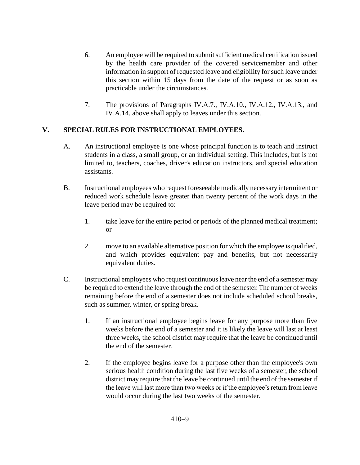- 6. An employee will be required to submit sufficient medical certification issued by the health care provider of the covered servicemember and other information in support of requested leave and eligibility for such leave under this section within 15 days from the date of the request or as soon as practicable under the circumstances.
- 7. The provisions of Paragraphs IV.A.7., IV.A.10., IV.A.12., IV.A.13., and IV.A.14. above shall apply to leaves under this section.

# **V. SPECIAL RULES FOR INSTRUCTIONAL EMPLOYEES.**

- A. An instructional employee is one whose principal function is to teach and instruct students in a class, a small group, or an individual setting. This includes, but is not limited to, teachers, coaches, driver's education instructors, and special education assistants.
- B. Instructional employees who request foreseeable medically necessary intermittent or reduced work schedule leave greater than twenty percent of the work days in the leave period may be required to:
	- 1. take leave for the entire period or periods of the planned medical treatment; or
	- 2. move to an available alternative position for which the employee is qualified, and which provides equivalent pay and benefits, but not necessarily equivalent duties.
- C. Instructional employees who request continuous leave near the end of a semester may be required to extend the leave through the end of the semester. The number of weeks remaining before the end of a semester does not include scheduled school breaks, such as summer, winter, or spring break.
	- 1. If an instructional employee begins leave for any purpose more than five weeks before the end of a semester and it is likely the leave will last at least three weeks, the school district may require that the leave be continued until the end of the semester.
	- 2. If the employee begins leave for a purpose other than the employee's own serious health condition during the last five weeks of a semester, the school district may require that the leave be continued until the end of the semester if the leave will last more than two weeks or if the employee's return from leave would occur during the last two weeks of the semester.